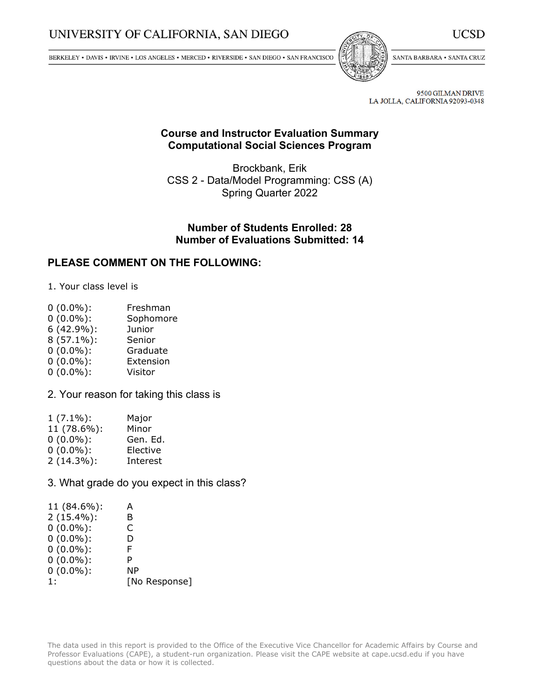# UNIVERSITY OF CALIFORNIA, SAN DIEGO

BERKELEY • DAVIS • IRVINE • LOS ANGELES • MERCED • RIVERSIDE • SAN DIEGO • SAN FRANCISCO



SANTA BARBARA . SANTA CRUZ

UCSD

9500 GILMAN DRIVE LA JOLLA, CALIFORNIA 92093-0348

#### **Course and Instructor Evaluation Summary Computational Social Sciences Program**

Brockbank, Erik CSS 2 - Data/Model Programming: CSS (A) Spring Quarter 2022

#### **Number of Students Enrolled: 28 Number of Evaluations Submitted: 14**

#### **PLEASE COMMENT ON THE FOLLOWING:**

1. Your class level is

- 0 (0.0%): Freshman
- 0 (0.0%): Sophomore
- 6 (42.9%): Junior
- 8 (57.1%): Senior
- 0 (0.0%): Graduate
- 0 (0.0%): Extension
- 0 (0.0%): Visitor

2. Your reason for taking this class is

| $1(7.1\%)$ :  | Major    |
|---------------|----------|
| 11 (78.6%):   | Minor    |
| $0(0.0\%)$ :  | Gen. Ed. |
| $0(0.0\%)$ :  | Elective |
| $2(14.3\%)$ : | Interest |

3. What grade do you expect in this class?

| 11 (84.6%):   | А             |
|---------------|---------------|
| $2(15.4\%)$ : | в             |
| $0(0.0\%)$ :  | C             |
| $0(0.0\%)$ :  | D             |
| $0(0.0\%)$ :  | F             |
| $0(0.0\%)$ :  | P             |
| $0(0.0\%)$ :  | ΝP            |
| 1:            | [No Response] |
|               |               |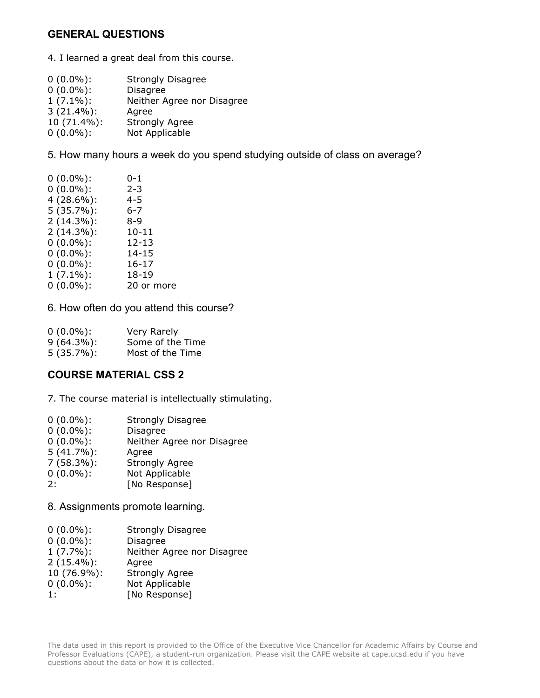# **GENERAL QUESTIONS**

4. I learned <sup>a</sup> great deal from this course.

| $0(0.0\%)$ :  | <b>Strongly Disagree</b>   |
|---------------|----------------------------|
| $0(0.0\%)$ :  | <b>Disagree</b>            |
| $1(7.1\%)$ :  | Neither Agree nor Disagree |
| $3(21.4\%)$ : | Agree                      |
| 10 (71.4%):   | <b>Strongly Agree</b>      |
| $0(0.0\%)$ :  | Not Applicable             |
|               |                            |

5. How many hours <sup>a</sup> week do you spend studying outside of class on average?

| $0(0.0\%)$ :  | 0-1        |
|---------------|------------|
| $0(0.0\%)$ :  | $2 - 3$    |
| $4(28.6\%)$ : | 4-5        |
| $5(35.7\%)$ : | 6-7        |
| $2(14.3\%)$ : | 8-9        |
| $2(14.3\%)$ : | $10 - 11$  |
| $0(0.0\%)$ :  | $12 - 13$  |
| $0(0.0\%)$ :  | 14-15      |
| $0(0.0\%)$ :  | 16-17      |
| $1(7.1\%)$ :  | $18 - 19$  |
| $0(0.0\%)$ :  | 20 or more |
|               |            |

6. How often do you attend this course?

| $0(0.0\%)$ :  | Very Rarely      |
|---------------|------------------|
| $9(64.3\%)$ : | Some of the Time |
| $5(35.7\%)$ : | Most of the Time |

### **COURSE MATERIAL CSS 2**

7. The course material is intellectually stimulating.

| $0(0.0\%)$ :  | <b>Strongly Disagree</b>   |
|---------------|----------------------------|
| $0(0.0\%)$ :  | <b>Disagree</b>            |
| $0(0.0\%)$ :  | Neither Agree nor Disagree |
| $5(41.7\%)$ : | Agree                      |
| $7(58.3\%)$ : | <b>Strongly Agree</b>      |
| $0(0.0\%)$ :  | Not Applicable             |
| 2:            | [No Response]              |
|               |                            |

8. Assignments promote learning.

| $0(0.0\%)$ :  | <b>Strongly Disagree</b>   |
|---------------|----------------------------|
| $0(0.0\%)$ :  | <b>Disagree</b>            |
| $1(7.7\%)$ :  | Neither Agree nor Disagree |
| $2(15.4\%)$ : | Agree                      |
| 10 (76.9%):   | <b>Strongly Agree</b>      |
| $0(0.0\%)$ :  | Not Applicable             |
| 1:            | [No Response]              |
|               |                            |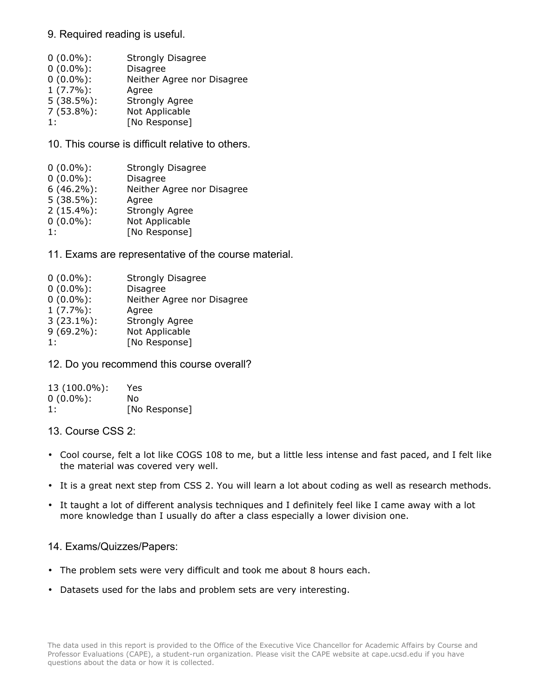#### 9. Required reading is useful.

| $0(0.0\%)$ :  | <b>Strongly Disagree</b>   |
|---------------|----------------------------|
| $0(0.0\%)$ :  | <b>Disagree</b>            |
| $0(0.0\%)$ :  | Neither Agree nor Disagree |
| $1(7.7\%)$ :  | Agree                      |
| $5(38.5\%)$ : | <b>Strongly Agree</b>      |
| $7(53.8\%)$ : | Not Applicable             |
| 1:            | [No Response]              |
|               |                            |

10. This course is difficult relative to others.

| $0(0.0\%)$ :  | <b>Strongly Disagree</b>   |
|---------------|----------------------------|
| $0(0.0\%)$ :  | <b>Disagree</b>            |
| $6(46.2\%)$ : | Neither Agree nor Disagree |
| $5(38.5\%)$ : | Agree                      |
| $2(15.4\%)$ : | <b>Strongly Agree</b>      |
| $0(0.0\%)$ :  | Not Applicable             |
| 1:            | [No Response]              |

11. Exams are representative of the course material.

| $0(0.0\%)$ :  | <b>Strongly Disagree</b>   |
|---------------|----------------------------|
| $0(0.0\%)$ :  | <b>Disagree</b>            |
| $0(0.0\%)$ :  | Neither Agree nor Disagree |
| $1(7.7\%)$ :  | Agree                      |
| $3(23.1\%)$ : | <b>Strongly Agree</b>      |
| $9(69.2\%)$ : | Not Applicable             |
| 1:            | [No Response]              |

12. Do you recommend this course overall?

| 13 (100.0%): | Yes           |
|--------------|---------------|
| $0(0.0\%)$ : | Nο            |
| 1:           | [No Response] |

13. Course CSS 2:

- Cool course, felt <sup>a</sup> lot like COGS 108 to me, but <sup>a</sup> little less intense and fast paced, and I felt like the material was covered very well.
- It is <sup>a</sup> great next step from CSS 2. You will learn <sup>a</sup> lot about coding as well as research methods.
- It taught <sup>a</sup> lot of different analysis techniques and I definitely feel like I came away with <sup>a</sup> lot more knowledge than I usually do after <sup>a</sup> class especially <sup>a</sup> lower division one.

#### 14. Exams/Quizzes/Papers:

- The problem sets were very difficult and took me about 8 hours each.
- Datasets used for the labs and problem sets are very interesting.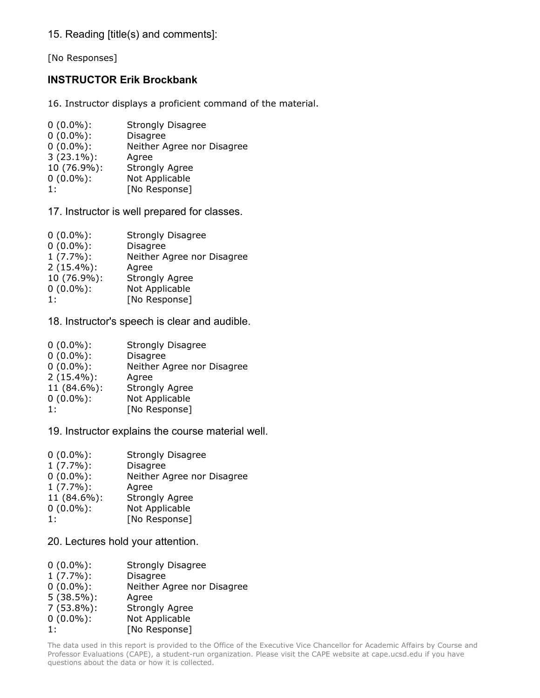15. Reading [title(s) and comments]:

[No Responses]

# **INSTRUCTOR Erik Brockbank**

16. Instructor displays <sup>a</sup> proficient command of the material.

| $0(0.0\%)$ :  | <b>Strongly Disagree</b>   |
|---------------|----------------------------|
| $0(0.0\%)$ :  | <b>Disagree</b>            |
| $0(0.0\%)$ :  | Neither Agree nor Disagree |
| $3(23.1\%)$ : | Agree                      |
| 10 (76.9%):   | <b>Strongly Agree</b>      |
| $0(0.0\%)$ :  | Not Applicable             |
| 1:            | [No Response]              |

17. Instructor is well prepared for classes.

| $0(0.0\%)$ :  | <b>Strongly Disagree</b>   |
|---------------|----------------------------|
| $0(0.0\%)$ :  | <b>Disagree</b>            |
| $1(7.7\%)$ :  | Neither Agree nor Disagree |
| $2(15.4\%)$ : | Agree                      |
| 10 (76.9%):   | <b>Strongly Agree</b>      |
| $0(0.0\%)$ :  | Not Applicable             |
| 1:            | [No Response]              |
|               |                            |

18. Instructor's speech is clear and audible.

| $0(0.0\%)$ :  | <b>Strongly Disagree</b>   |
|---------------|----------------------------|
| $0(0.0\%)$ :  | <b>Disagree</b>            |
| $0(0.0\%)$ :  | Neither Agree nor Disagree |
| $2(15.4\%)$ : | Agree                      |
| 11 (84.6%):   | <b>Strongly Agree</b>      |
| $0(0.0\%)$ :  | Not Applicable             |
| 1:            | [No Response]              |

19. Instructor explains the course material well.

| $0(0.0\%)$ : | <b>Strongly Disagree</b>   |
|--------------|----------------------------|
| $1(7.7\%)$ : | <b>Disagree</b>            |
| $0(0.0\%)$ : | Neither Agree nor Disagree |
| $1(7.7\%)$ : | Agree                      |
| 11 (84.6%):  | <b>Strongly Agree</b>      |
| $0(0.0\%)$ : | Not Applicable             |
| 1:           | [No Response]              |

20. Lectures hold your attention.

| $0(0.0\%)$ :  | <b>Strongly Disagree</b>   |
|---------------|----------------------------|
| $1(7.7\%)$ :  | <b>Disagree</b>            |
| $0(0.0\%)$ :  | Neither Agree nor Disagree |
| $5(38.5\%)$ : | Agree                      |
| $7(53.8\%)$ : | <b>Strongly Agree</b>      |
| $0(0.0\%)$ :  | Not Applicable             |
| 1:            | [No Response]              |
|               |                            |

The data used in this report is provided to the Office of the Executive Vice Chancellor for Academic Affairs by Course and Professor Evaluations (CAPE), <sup>a</sup> student-run organization. Please visit the CAPE website at cape.ucsd.edu if you have questions about the data or how it is collected.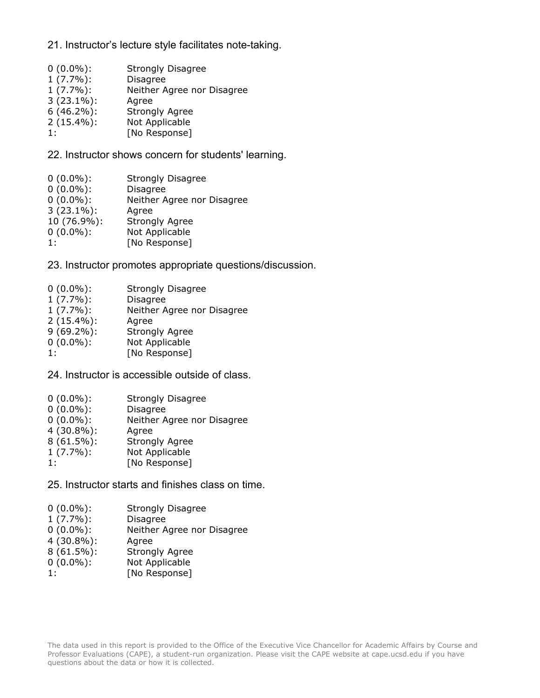#### 21. Instructor's lecture style facilitates note-taking.

- 0 (0.0%): Strongly Disagree
- 1 (7.7%): Disagree
- 1 (7.7%): Neither Agree nor Disagree
- 3 (23.1%): Agree
- Strongly Agree
- 2 (15.4%): Not Applicable
- 1: [No Response]

22. Instructor shows concern for students' learning.

| $0(0.0\%)$ :  | <b>Strongly Disagree</b>   |
|---------------|----------------------------|
| $0(0.0\%)$ :  | Disagree                   |
| $0(0.0\%)$ :  | Neither Agree nor Disagree |
| $3(23.1\%)$ : | Agree                      |
| 10 (76.9%):   | <b>Strongly Agree</b>      |
| $0(0.0\%)$ :  | Not Applicable             |
| 1:            | [No Response]              |
|               |                            |

23. Instructor promotes appropriate questions/discussion.

| $0(0.0\%)$ :  | Strongly Disagree          |
|---------------|----------------------------|
| $1(7.7\%)$ :  | <b>Disagree</b>            |
| $1(7.7\%)$ :  | Neither Agree nor Disagree |
| $2(15.4\%)$ : | Agree                      |
| $9(69.2\%)$ : | <b>Strongly Agree</b>      |
| $0(0.0\%)$ :  | Not Applicable             |
| 1:            | [No Response]              |
|               |                            |

24. Instructor is accessible outside of class.

| $0(0.0\%)$ :<br>$0(0.0\%)$ :<br>$0(0.0\%)$ :<br>$4(30.8\%)$ :<br>$8(61.5\%)$ :<br>$1(7.7\%)$ : | <b>Strongly Disagree</b><br><b>Disagree</b><br>Neither Agree nor Disagree<br>Agree<br><b>Strongly Agree</b><br>Not Applicable |
|------------------------------------------------------------------------------------------------|-------------------------------------------------------------------------------------------------------------------------------|
|                                                                                                |                                                                                                                               |
| 1:                                                                                             | [No Response]                                                                                                                 |

25. Instructor starts and finishes class on time.

| $0(0.0\%)$ : | <b>Strongly Disagree</b> |
|--------------|--------------------------|
|--------------|--------------------------|

- 1 (7.7%): Disagree
- 0 (0.0%): Neither Agree nor Disagree
- 4 (30.8%): Agree
- 8 (61.5%): Strongly Agree
- 0 (0.0%): Not Applicable
- 1: [No Response]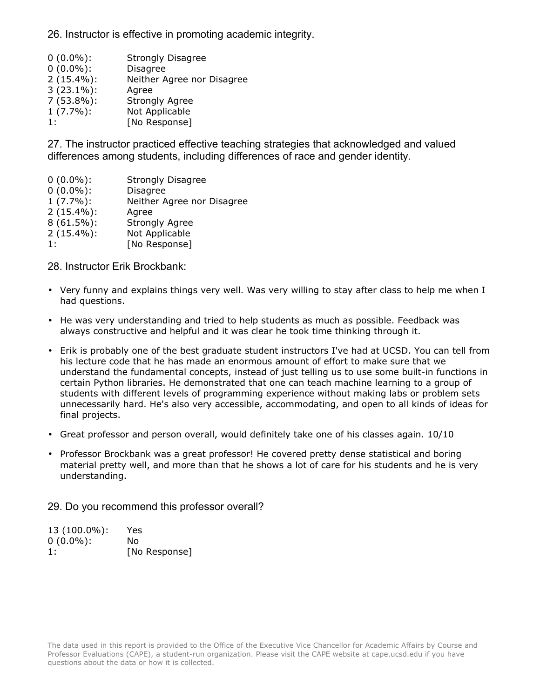26. Instructor is effective in promoting academic integrity.

| $0(0.0\%)$ :<br><b>Disagree</b><br>$2(15.4\%)$ :<br>$3(23.1\%)$ :<br>Agree<br>$7(53.8\%)$ :<br><b>Strongly Agree</b><br>$1(7.7\%)$ :<br>Not Applicable<br>[No Response]<br>1: | $0(0.0\%)$ : | <b>Strongly Disagree</b>   |
|-------------------------------------------------------------------------------------------------------------------------------------------------------------------------------|--------------|----------------------------|
|                                                                                                                                                                               |              |                            |
|                                                                                                                                                                               |              | Neither Agree nor Disagree |
|                                                                                                                                                                               |              |                            |
|                                                                                                                                                                               |              |                            |
|                                                                                                                                                                               |              |                            |
|                                                                                                                                                                               |              |                            |

27. The instructor practiced effective teaching strategies that acknowledged and valued differences among students, including differences of race and gender identity.

 (0.0%): Strongly Disagree (0.0%): Disagree (7.7%): Neither Agree nor Disagree (15.4%): Agree (61.5%): Strongly Agree (15.4%): Not Applicable 1: [No Response]

28. Instructor Erik Brockbank:

- Very funny and explains things very well. Was very willing to stay after class to help me when I had questions.
- He was very understanding and tried to help students as much as possible. Feedback was always constructive and helpful and it was clear he took time thinking through it.
- Erik is probably one of the best graduate student instructors I've had at UCSD. You can tell from his lecture code that he has made an enormous amount of effort to make sure that we understand the fundamental concepts, instead of just telling us to use some built-in functions in certain Python libraries. He demonstrated that one can teach machine learning to <sup>a</sup> group of students with different levels of programming experience without making labs or problem sets unnecessarily hard. He's also very accessible, accommodating, and open to all kinds of ideas for final projects.
- Great professor and person overall, would definitely take one of his classes again. 10/10
- Professor Brockbank was <sup>a</sup> great professor! He covered pretty dense statistical and boring material pretty well, and more than that he shows <sup>a</sup> lot of care for his students and he is very understanding.

29. Do you recommend this professor overall?

| 13 (100.0%): | Yes           |
|--------------|---------------|
| $0(0.0\%)$ : | Nο            |
| 1:           | [No Response] |